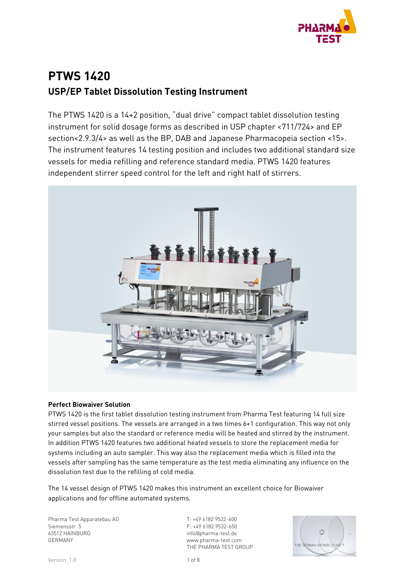

# **PTWS 1420 USP/EP Tablet Dissolution Testing Instrument**

The PTWS 1420 is a 14+2 position, "dual drive" compact tablet dissolution testing instrument for solid dosage forms as described in USP chapter <711/724> and EP section<2.9.3/4> as well as the BP, DAB and Japanese Pharmacopeia section <15>. The instrument features 14 testing position and includes two additional standard size vessels for media refilling and reference standard media. PTWS 1420 features independent stirrer speed control for the left and right half of stirrers.



#### **Perfect Biowaiver Solution**

PTWS 1420 is the first tablet dissolution testing instrument from Pharma Test featuring 14 full size stirred vessel positions. The vessels are arranged in a two times 6+1 configuration. This way not only your samples but also the standard or reference media will be heated and stirred by the instrument. In addition PTWS 1420 features two additional heated vessels to store the replacement media for systems including an auto sampler. This way also the replacement media which is filled into the vessels after sampling has the same temperature as the test media eliminating any influence on the dissolution test due to the refilling of cold media.

The 14 vessel design of PTWS 1420 makes this instrument an excellent choice for Biowaiver applications and for offline automated systems.

Pharma Test Apparatebau AG Siemensstr. 5 63512 HAINBURG GERMANY

T: +49 6182 9532-600 F: +49 6182 9532-650 info@pharma-test.de www.pharma-test.com THE PHARMA TEST GROUP

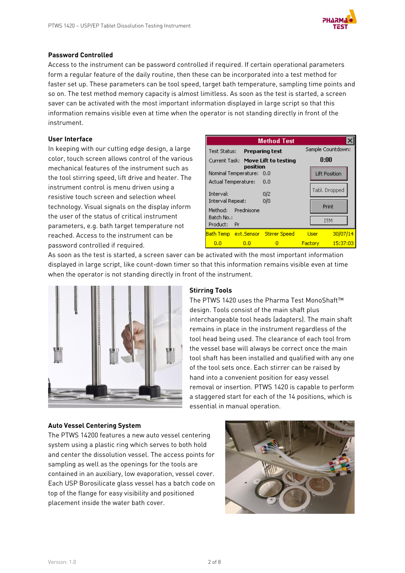

#### **Password Controlled**

Access to the instrument can be password controlled if required. If certain operational parameters form a regular feature of the daily routine, then these can be incorporated into a test method for faster set up. These parameters can be tool speed, target bath temperature, sampling time points and so on. The test method memory capacity is almost limitless. As soon as the test is started, a screen saver can be activated with the most important information displayed in large script so that this information remains visible even at time when the operator is not standing directly in front of the instrument.

#### **User Interface**

In keeping with our cutting edge design, a large color, touch screen allows control of the various mechanical features of the instrument such as the tool stirring speed, lift drive and heater. The instrument control is menu driven using a resistive touch screen and selection wheel technology. Visual signals on the display inform the user of the status of critical instrument parameters, e.g. bath target temperature not reached. Access to the instrument can be password controlled if required.

|                                           | <b>Method Test</b> |                                                |             |                      |  |
|-------------------------------------------|--------------------|------------------------------------------------|-------------|----------------------|--|
| Test Status:                              |                    | Preparing test                                 |             | Sample Countdown:    |  |
|                                           |                    | Current Task: Move Lift to testing<br>position |             | 0:00                 |  |
| Nominal Temperature: 0.0                  |                    |                                                |             | <b>Lift Position</b> |  |
| Actual Temperature:                       |                    | 0.0                                            |             |                      |  |
| Interval:                                 |                    | 0/2                                            |             | Tabl. Dropped        |  |
| Interval Repeat:<br>Prednisone<br>Method: |                    | 0/0                                            |             | Print                |  |
| Batch No.:<br>Product:<br>-Pr             |                    |                                                |             | <b>ITM</b>           |  |
|                                           |                    | Bath Temp ext. Sensor Stirrer Speed            | <b>User</b> | 30/07/14             |  |
| 0.0                                       | o.o                | п                                              | Factory:    | $-15:37:03$          |  |

As soon as the test is started, a screen saver can be activated with the most important information displayed in large script, like count-down timer so that this information remains visible even at time when the operator is not standing directly in front of the instrument.



#### **Stirring Tools**

The PTWS 1420 uses the Pharma Test MonoShaft™ design. Tools consist of the main shaft plus interchangeable tool heads (adapters). The main shaft remains in place in the instrument regardless of the tool head being used. The clearance of each tool from the vessel base will always be correct once the main tool shaft has been installed and qualified with any one of the tool sets once. Each stirrer can be raised by hand into a convenient position for easy vessel removal or insertion. PTWS 1420 is capable to perform a staggered start for each of the 14 positions, which is essential in manual operation.

#### **Auto Vessel Centering System**

The PTWS 14200 features a new auto vessel centering system using a plastic ring which serves to both hold and center the dissolution vessel. The access points for sampling as well as the openings for the tools are contained in an auxiliary, low evaporation, vessel cover. Each USP Borosilicate glass vessel has a batch code on top of the flange for easy visibility and positioned placement inside the water bath cover.

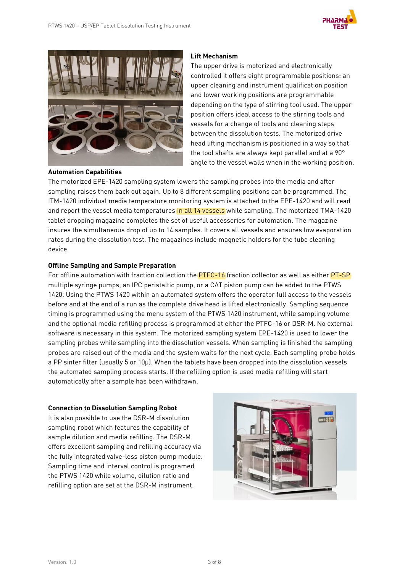



#### **Automation Capabilities**

#### **Lift Mechanism**

The upper drive is motorized and electronically controlled it offers eight programmable positions: an upper cleaning and instrument qualification position and lower working positions are programmable depending on the type of stirring tool used. The upper position offers ideal access to the stirring tools and vessels for a change of tools and cleaning steps between the dissolution tests. The motorized drive head lifting mechanism is positioned in a way so that the tool shafts are always kept parallel and at a 90° angle to the vessel walls when in the working position.

The motorized EPE-1420 sampling system lowers the sampling probes into the media and after sampling raises them back out again. Up to 8 different sampling positions can be programmed. The ITM-1420 individual media temperature monitoring system is attached to the EPE-1420 and will read and report the vessel media temperatures in all 14 vessels while sampling. The motorized TMA-1420 tablet dropping magazine completes the set of useful accessories for automation. The magazine insures the simultaneous drop of up to 14 samples. It covers all vessels and ensures low evaporation rates during the dissolution test. The magazines include magnetic holders for the tube cleaning device.

#### **Offline Sampling and Sample Preparation**

For offline automation with fraction collection the **PTFC-16** fraction collector as well as either **PT-SP** multiple syringe pumps, an IPC peristaltic pump, or a CAT piston pump can be added to the PTWS 1420. Using the PTWS 1420 within an automated system offers the operator full access to the vessels before and at the end of a run as the complete drive head is lifted electronically. Sampling sequence timing is programmed using the menu system of the PTWS 1420 instrument, while sampling volume and the optional media refilling process is programmed at either the PTFC-16 or DSR-M. No external software is necessary in this system. The motorized sampling system EPE-1420 is used to lower the sampling probes while sampling into the dissolution vessels. When sampling is finished the sampling probes are raised out of the media and the system waits for the next cycle. Each sampling probe holds a PP sinter filter (usually 5 or 10µ). When the tablets have been dropped into the dissolution vessels the automated sampling process starts. If the refilling option is used media refilling will start automatically after a sample has been withdrawn.

#### **Connection to Dissolution Sampling Robot**

It is also possible to use the DSR-M dissolution sampling robot which features the capability of sample dilution and media refilling. The DSR-M offers excellent sampling and refilling accuracy via the fully integrated valve-less piston pump module. Sampling time and interval control is programed the PTWS 1420 while volume, dilution ratio and refilling option are set at the DSR-M instrument.

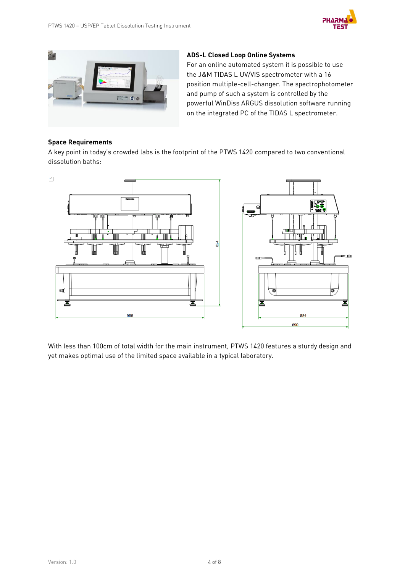



#### **ADS-L Closed Loop Online Systems**

For an online automated system it is possible to use the J&M TIDAS L UV/VIS spectrometer with a 16 position multiple-cell-changer. The spectrophotometer and pump of such a system is controlled by the powerful WinDiss ARGUS dissolution software running on the integrated PC of the TIDAS L spectrometer.

#### **Space Requirements**

A key point in today's crowded labs is the footprint of the PTWS 1420 compared to two conventional dissolution baths:



With less than 100cm of total width for the main instrument, PTWS 1420 features a sturdy design and yet makes optimal use of the limited space available in a typical laboratory.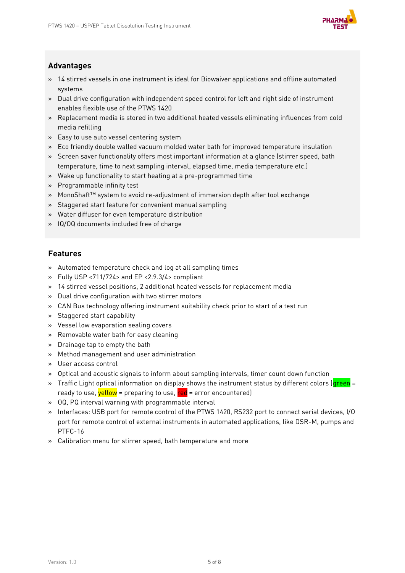

### **Advantages**

- » 14 stirred vessels in one instrument is ideal for Biowaiver applications and offline automated systems
- » Dual drive configuration with independent speed control for left and right side of instrument enables flexible use of the PTWS 1420
- » Replacement media is stored in two additional heated vessels eliminating influences from cold media refilling
- » Easy to use auto vessel centering system
- » Eco friendly double walled vacuum molded water bath for improved temperature insulation
- » Screen saver functionality offers most important information at a glance (stirrer speed, bath temperature, time to next sampling interval, elapsed time, media temperature etc.)
- » Wake up functionality to start heating at a pre-programmed time
- » Programmable infinity test
- » MonoShaft™ system to avoid re-adjustment of immersion depth after tool exchange
- » Staggered start feature for convenient manual sampling
- » Water diffuser for even temperature distribution
- » IQ/OQ documents included free of charge

### **Features**

- » Automated temperature check and log at all sampling times
- » Fully USP <711/724> and EP <2.9.3/4> compliant
- » 14 stirred vessel positions, 2 additional heated vessels for replacement media
- » Dual drive configuration with two stirrer motors
- » CAN Bus technology offering instrument suitability check prior to start of a test run
- » Staggered start capability
- » Vessel low evaporation sealing covers
- » Removable water bath for easy cleaning
- » Drainage tap to empty the bath
- » Method management and user administration
- » User access control
- » Optical and acoustic signals to inform about sampling intervals, timer count down function
- » Traffic Light optical information on display shows the instrument status by different colors (green = ready to use, vellow = preparing to use,  $red$  = error encountered)
- » OQ, PQ interval warning with programmable interval
- » Interfaces: USB port for remote control of the PTWS 1420, RS232 port to connect serial devices, I/O port for remote control of external instruments in automated applications, like DSR-M, pumps and PTFC-16
- » Calibration menu for stirrer speed, bath temperature and more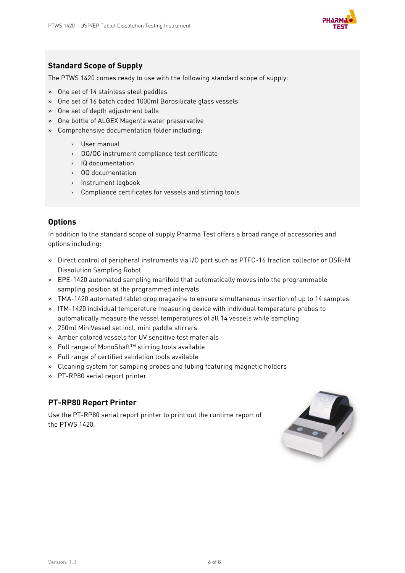

### **Standard Scope of Supply**

The PTWS 1420 comes ready to use with the following standard scope of supply:

- » One set of 14 stainless steel paddles
- » One set of 16 batch coded 1000ml Borosilicate glass vessels
- » One set of depth adjustment balls
- » One bottle of ALGEX Magenta water preservative
- » Comprehensive documentation folder including:
	- › User manual
	- › DQ/QC instrument compliance test certificate
	- › IQ documentation
	- › OQ documentation
	- › Instrument logbook
	- › Compliance certificates for vessels and stirring tools

### **Options**

In addition to the standard scope of supply Pharma Test offers a broad range of accessories and options including:

- » Direct control of peripheral instruments via I/O port such as PTFC-16 fraction collector or DSR-M Dissolution Sampling Robot
- » EPE-1420 automated sampling manifold that automatically moves into the programmable sampling position at the programmed intervals
- » TMA-1420 automated tablet drop magazine to ensure simultaneous insertion of up to 14 samples
- » ITM-1420 individual temperature measuring device with individual temperature probes to automatically measure the vessel temperatures of all 14 vessels while sampling
- » 250ml MiniVessel set incl. mini paddle stirrers
- » Amber colored vessels for UV sensitive test materials
- » Full range of MonoShaft™ stirring tools available
- » Full range of certified validation tools available
- » Cleaning system for sampling probes and tubing featuring magnetic holders
- » PT-RP80 serial report printer

### **PT-RP80 Report Printer**

Use the PT-RP80 serial report printer to print out the runtime report of the PTWS 1420.

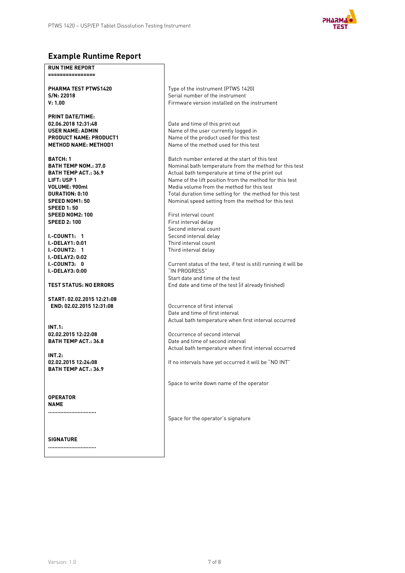

### **Example Runtime Report**

**RUN TIME REPORT ================**

**PHARMA TEST PTWS1420 S/N: 22018 V: 1.00**

**PRINT DATE/TIME: 02.06.2018 12:31:48 USER NAME: ADMIN PRODUCT NAME: PRODUCT1 METHOD NAME: METHOD1**

**BATCH: 1 BATH TEMP NOM.: 37.0 BATH TEMP ACT.: 36.9 LIFT: USP 1 VOLUME: 900ml DURATION: 0:10 SPEED NOM1: 50 SPEED 1: 50 SPEED NOM2: 100 SPEED 2: 100**

**I.-COUNT1: 1 I.-DELAY1: 0:01 I.-COUNT2: 1 I.-DELAY2: 0:02 I.-COUNT3: 0 I.-DELAY3: 0:00**

**TEST STATUS: NO ERRORS**

**START: 02.02.2015 12:21:08 END: 02.02.2015 12:31:08**

**INT.1: 02.02.2015 12:22:08 BATH TEMP ACT.: 36.8**

**INT.2: 02.02.2015 12:24:08 BATH TEMP ACT.: 36.9**

**OPERATOR NAME ...............................**

**SIGNATURE**

**...............................**

Type of the instrument (PTWS 1420) Serial number of the instrument Firmware version installed on the instrument

Date and time of this print out Name of the user currently logged in Name of the product used for this test Name of the method used for this test

Batch number entered at the start of this test Nominal bath temperature from the method for this test Actual bath temperature at time of the print out Name of the lift position from the method for this test Media volume from the method for this test Total duration time setting for the method for this test Nominal speed setting from the method for this test

First interval count First interval delay Second interval count Second interval delay Third interval count Third interval delay

Current status of the test, if test is still running it will be "IN PROGRESS" Start date and time of the test End date and time of the test (if already finished)

Occurrence of first interval Date and time of first interval Actual bath temperature when first interval occurred

Occurrence of second interval Date and time of second interval Actual bath temperature when first interval occurred

If no intervals have yet occurred it will be "NO INT"

Space to write down name of the operator

Space for the operator's signature